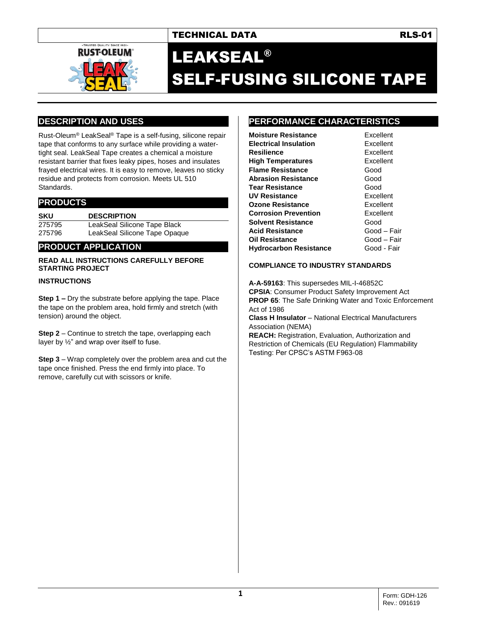## TECHNICAL DATA RES-01



# LEAKSEAL® SELF-FUSING SILICONE TAPE

## **DESCRIPTION AND USES**

Rust-Oleum® LeakSeal® Tape is a self-fusing, silicone repair tape that conforms to any surface while providing a watertight seal. LeakSeal Tape creates a chemical a moisture resistant barrier that fixes leaky pipes, hoses and insulates frayed electrical wires. It is easy to remove, leaves no sticky residue and protects from corrosion. Meets UL 510 Standards.

## **PRODUCTS**

**SKU DESCRIPTION** 275795 LeakSeal Silicone Tape Black 275796 LeakSeal Silicone Tape Opaque

## **PRODUCT APPLICATION**

#### **READ ALL INSTRUCTIONS CAREFULLY BEFORE STARTING PROJECT**

### **INSTRUCTIONS**

**Step 1 –** Dry the substrate before applying the tape. Place the tape on the problem area, hold firmly and stretch (with tension) around the object.

**Step 2** – Continue to stretch the tape, overlapping each layer by ½" and wrap over itself to fuse.

**Step 3** – Wrap completely over the problem area and cut the tape once finished. Press the end firmly into place. To remove, carefully cut with scissors or knife.

## **PERFORMANCE CHARACTERISTICS**

| <b>Moisture Resistance</b>    | Excel |
|-------------------------------|-------|
| <b>Electrical Insulation</b>  | Excel |
| Resilience                    | Excel |
| High Temperatures             | Excel |
| <b>Flame Resistance</b>       | Good  |
| Abrasion Resistance           | Good  |
| Tear Resistance               | Good  |
| UV Resistance                 | Excel |
| Ozone Resistance              | Excel |
| Corrosion Prevention          | Excel |
| Solvent Resistance            | Good  |
| Acid Resistance               | Good  |
| Oil Resistance                | Good  |
| <b>Hydrocarbon Resistance</b> | Good  |

**Excellent Excellent** Excellent **Excellent Good** Good Excellent **Excellent Excellent Good Acid Resistance** Good – Fair Good – Fair **Good - Fair** 

#### **COMPLIANCE TO INDUSTRY STANDARDS**

**A-A-59163**: This supersedes MIL-I-46852C **CPSIA**: Consumer Product Safety Improvement Act **PROP 65:** The Safe Drinking Water and Toxic Enforcement Act of 1986 **Class H Insulator** – National Electrical Manufacturers Association (NEMA) **REACH:** Registration, Evaluation, Authorization and Restriction of Chemicals (EU Regulation) Flammability Testing: Per CPSC's ASTM F963-08